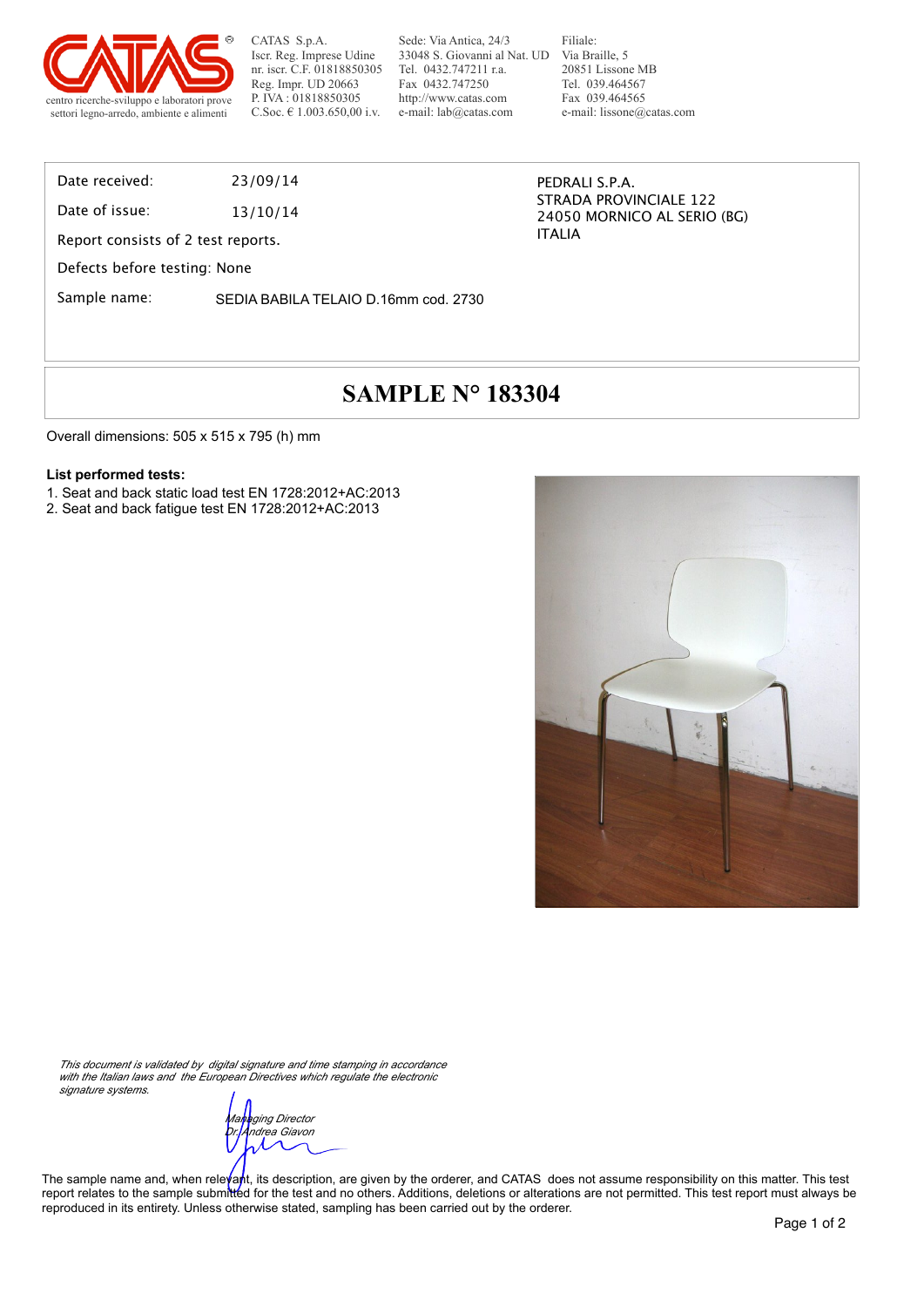

Sede: Via Antica, 24/3 33048 S. Giovanni al Nat. UD Tel. 0432.747211 r.a. Fax 0432.747250 http://www.catas.com e-mail: lab@catas.com

Filiale: Via Braille, 5 20851 Lissone MB Tel. 039.464567 Fax 039.464565 e-mail: lissone@catas.com

STRADA PROVINCIALE 122 24050 MORNICO AL SERIO (BG)

PEDRALI S.P.A.

ITALIA

Date received: 23/09/14

Date of issue: 13/10/14

Report consists of 2 test reports.

Defects before testing: None

Sample name: SEDIA BABILA TELAIO D.16mm cod. 2730

# **SAMPLE N° 183304**

Overall dimensions: 505 x 515 x 795 (h) mm

#### **List performed tests:**

- 1. Seat and back static load test EN 1728:2012+AC:2013
- 2. Seat and back fatigue test EN 1728:2012+AC:2013



*This document is validated by digital signature and time stamping in accordance with the Italian laws and the European Directives which regulate the electronic signature systems.*

*Managing Director Dr. Andrea Giavon*

The sample name and, when releyant, its description, are given by the orderer, and CATAS does not assume responsibility on this matter. This test report relates to the sample submitted for the test and no others. Additions, deletions or alterations are not permitted. This test report must always be reproduced in its entirety. Unless otherwise stated, sampling has been carried out by the orderer.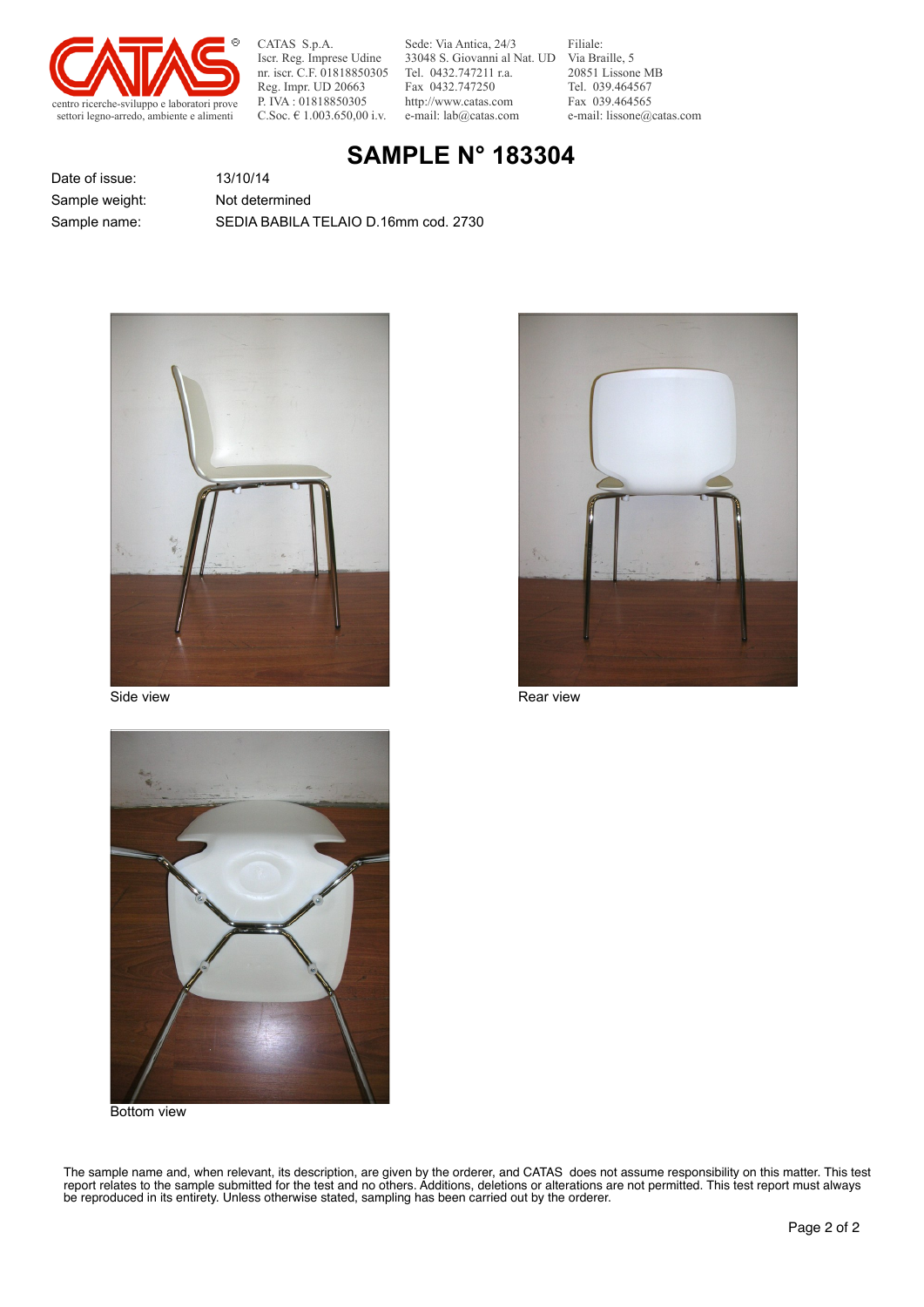

Sede: Via Antica, 24/3 33048 S. Giovanni al Nat. UD Tel. 0432.747211 r.a. Fax 0432.747250 http://www.catas.com e-mail: lab@catas.com

Filiale: Via Braille, 5 20851 Lissone MB Tel. 039.464567 Fax 039.464565 e-mail: lissone@catas.com

### **SAMPLE N° 183304**

Date of issue: 13/10/14 Sample weight: Not determined

Sample name: SEDIA BABILA TELAIO D.16mm cod. 2730





Side view **Rear view** Rear view Rear view Rear view



Bottom view

The sample name and, when relevant, its description, are given by the orderer, and CATAS does not assume responsibility on this matter. This test report relates to the sample submitted for the test and no others. Additions, deletions or alterations are not permitted. This test report must always be reproduced in its entirety. Unless otherwise stated, sampling has been carried out by the orderer.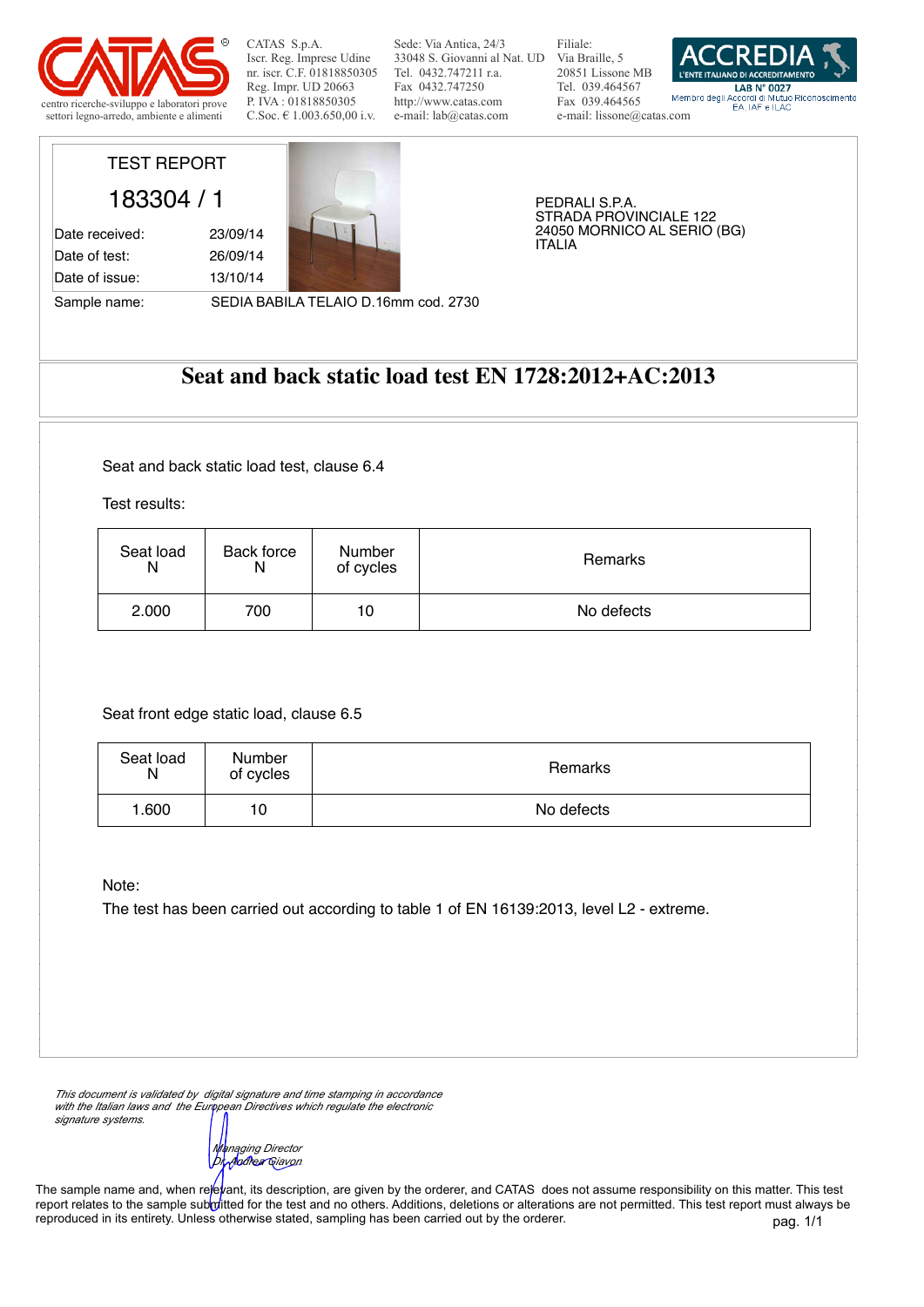

Sede: Via Antica, 24/3 33048 S. Giovanni al Nat. UD Via Braille, 5 Tel. 0432.747211 r.a. Fax 0432.747250 http://www.catas.com e-mail: lab@catas.com

Filiale: 20851 Lissone MB Tel. 039.464567 Fax 039.464565 e-mail: lissone@catas.com



## TEST REPORT

Date of issue: 13/10/14

183304 / 1 Date received: 23/09/14 Date of test: 26/09/14



PEDRALI S.P.A. STRADA PROVINCIALE 122 24050 MORNICO AL SERIO (BG) ITALIA

Sample name: SEDIA BABILA TELAIO D.16mm cod. 2730

#### **Seat and back static load test EN 1728:2012+AC:2013**

Seat and back static load test, clause 6.4

Test results:

| Seat load<br>N | Back force | Number<br>of cycles | Remarks    |
|----------------|------------|---------------------|------------|
| 2.000          | 700        | 10                  | No defects |

Seat front edge static load, clause 6.5

| Seat load<br>N | <b>Number</b><br>of cycles | Remarks    |
|----------------|----------------------------|------------|
| 1.600          | 10                         | No defects |

Note:

The test has been carried out according to table 1 of EN 16139:2013, level L2 - extreme.

*This document is validated by digital signature and time stamping in accordance with the Italian laws and the European Directives which regulate the electronic signature systems.*

*Managing Director*<br>*Di<sub>r</sub>Andrea* Giavon *Dr. Andrea Giavon*

pag. 1/1 The sample name and, when relevant, its description, are given by the orderer, and CATAS does not assume responsibility on this matter. This test report relates to the sample submitted for the test and no others. Additions, deletions or alterations are not permitted. This test report must always be reproduced in its entirety. Unless otherwise stated, sampling has been carried out by the orderer.